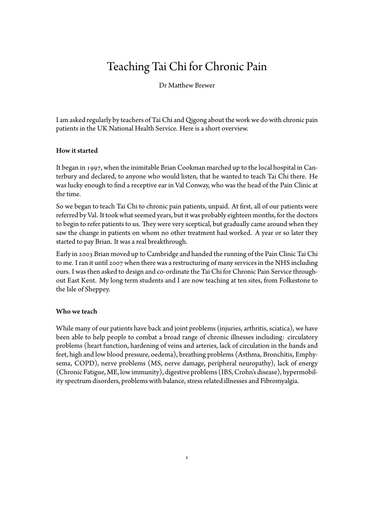# Teaching Tai Chi for Chronic Pain

Dr Matthew Brewer

I am asked regularly by teachers of Tai Chi and Qigong about the work we do with chronic pain patients in the UK National Health Service. Here is a short overview.

# How it started

It began in 1997, when the inimitable Brian Cookman marched up to the local hospital in Canterbury and declared, to anyone who would listen, that he wanted to teach Tai Chi there. He was lucky enough to find a receptive ear in Val Conway, who was the head of the Pain Clinic at the time.

So we began to teach Tai Chi to chronic pain patients, unpaid. At first, all of our patients were referred by Val. It took what seemed years, but it was probably eighteen months, for the doctors to begin to refer patients to us. They were very sceptical, but gradually came around when they saw the change in patients on whom no other treatment had worked. A year or so later they started to pay Brian. It was a real breakthrough.

Early in 2003 Brian moved up to Cambridge and handed the running of the Pain Clinic Tai Chi to me. I ran it until 2007 when there was a restructuring of many services in the NHS including ours. I was then asked to design and co-ordinate the Tai Chi for Chronic Pain Service throughout East Kent. My long term students and I are now teaching at ten sites, from Folkestone to the Isle of Sheppey.

# Who we teach

While many of our patients have back and joint problems (injuries, arthritis, sciatica), we have been able to help people to combat a broad range of chronic illnesses including: circulatory problems (heart function, hardening of veins and arteries, lack of circulation in the hands and feet, high and low blood pressure, oedema), breathing problems (Asthma, Bronchitis, Emphysema, COPD), nerve problems (MS, nerve damage, peripheral neuropathy), lack of energy (Chronic Fatigue, ME, low immunity), digestive problems (IBS, Crohn's disease), hypermobility spectrum disorders, problems with balance, stress related illnesses and Fibromyalgia.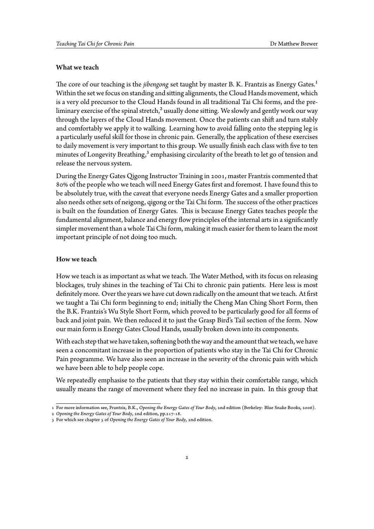#### What we teach

The core of our teaching is the *jibengong* set taught by master B. K. Frantzis as Energy Gates.<sup>1</sup> Within the set we focus on standing and sitting alignments, the Cloud Hands movement, which is a very old precursor to the Cloud Hands found in all traditional Tai Chi forms, and the preliminary exercise of the spinal stretch,<sup>2</sup> usually done sitting. We slowly and gently work our way through the layers of the Cloud Hands movement. Once the patients can shift and turn stably and comfortably we apply it to walking. Learning how to avoid falling onto the stepping leg is a particularly useful skill for those in chronic pain. Generally, the application of these exercises to daily movement is very important to this group. We usually finish each class with five to ten minutes of Longevity Breathing,<sup>3</sup> emphasising circularity of the breath to let go of tension and release the nervous system.

During the Energy Gates Qigong Instructor Training in 2001, master Frantzis commented that 80% of the people who we teach will need Energy Gates first and foremost. I have found this to be absolutely true, with the caveat that everyone needs Energy Gates and a smaller proportion also needs other sets of neigong, qigong or the Tai Chi form. The success of the other practices is built on the foundation of Energy Gates. This is because Energy Gates teaches people the fundamental alignment, balance and energy flow principles of the internal arts in a significantly simpler movement than a whole Tai Chi form, making it much easier for them to learn the most important principle of not doing too much.

# How we teach

How we teach is as important as what we teach. The Water Method, with its focus on releasing blockages, truly shines in the teaching of Tai Chi to chronic pain patients. Here less is most definitely more. Over the years we have cut down radically on the amount that we teach. At first we taught a Tai Chi form beginning to end; initially the Cheng Man Ching Short Form, then the B.K. Frantzis's Wu Style Short Form, which proved to be particularly good for all forms of back and joint pain. We then reduced it to just the Grasp Bird's Tail section of the form. Now our main form is Energy Gates Cloud Hands, usually broken down into its components.

With each step that we have taken, softening both the way and the amount that we teach, we have seen a concomitant increase in the proportion of patients who stay in the Tai Chi for Chronic Pain programme. We have also seen an increase in the severity of the chronic pain with which we have been able to help people cope.

We repeatedly emphasise to the patients that they stay within their comfortable range, which usually means the range of movement where they feel no increase in pain. In this group that

<sup>1</sup> For more information see, Frantzis, B.K., *Opening the Energy Gates of Your Body*, 2nd edition (Berkeley: Blue Snake Books, 2006).

<sup>2</sup> *Opening the Energy Gates of Your Body*, 2nd edition, pp.217-18.

<sup>3</sup> For which see chapter 5 of *Opening the Energy Gates of Your Body*, 2nd edition.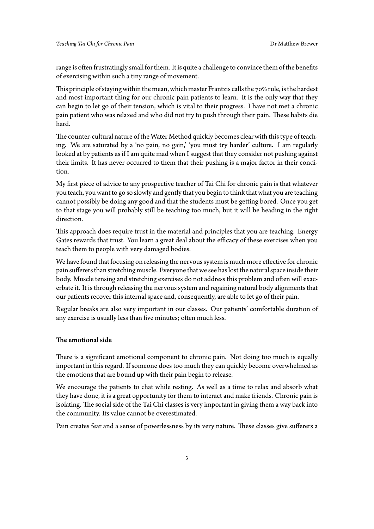range is often frustratingly small for them. It is quite a challenge to convince them of the benefits of exercising within such a tiny range of movement.

This principle of staying within the mean, which master Frantzis calls the 70% rule, is the hardest and most important thing for our chronic pain patients to learn. It is the only way that they can begin to let go of their tension, which is vital to their progress. I have not met a chronic pain patient who was relaxed and who did not try to push through their pain. These habits die hard.

The counter-cultural nature of the Water Method quickly becomes clear with this type of teaching. We are saturated by a 'no pain, no gain,' 'you must try harder' culture. I am regularly looked at by patients as if I am quite mad when I suggest that they consider not pushing against their limits. It has never occurred to them that their pushing is a major factor in their condition.

My first piece of advice to any prospective teacher of Tai Chi for chronic pain is that whatever you teach, you want to go so slowly and gently that you begin to think that what you are teaching cannot possibly be doing any good and that the students must be getting bored. Once you get to that stage you will probably still be teaching too much, but it will be heading in the right direction.

This approach does require trust in the material and principles that you are teaching. Energy Gates rewards that trust. You learn a great deal about the efficacy of these exercises when you teach them to people with very damaged bodies.

We have found that focusing on releasing the nervous system is much more effective for chronic pain sufferers than stretching muscle. Everyone that we see has lost the natural space inside their body. Muscle tensing and stretching exercises do not address this problem and often will exacerbate it. It is through releasing the nervous system and regaining natural body alignments that our patients recover this internal space and, consequently, are able to let go of their pain.

Regular breaks are also very important in our classes. Our patients' comfortable duration of any exercise is usually less than five minutes; often much less.

#### The emotional side

There is a significant emotional component to chronic pain. Not doing too much is equally important in this regard. If someone does too much they can quickly become overwhelmed as the emotions that are bound up with their pain begin to release.

We encourage the patients to chat while resting. As well as a time to relax and absorb what they have done, it is a great opportunity for them to interact and make friends. Chronic pain is isolating. The social side of the Tai Chi classes is very important in giving them a way back into the community. Its value cannot be overestimated.

Pain creates fear and a sense of powerlessness by its very nature. These classes give sufferers a